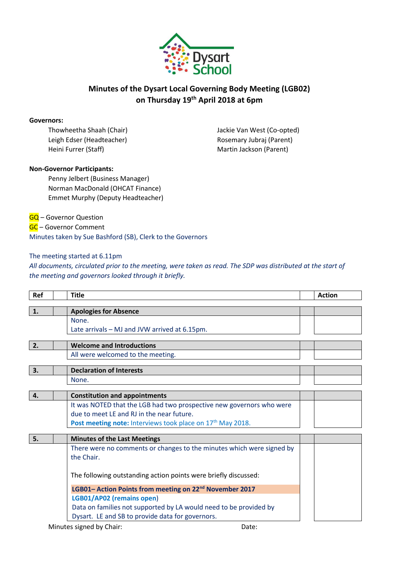

## **Minutes of the Dysart Local Governing Body Meeting (LGB02) on Thursday 19th April 2018 at 6pm**

### **Governors:**

Leigh Edser (Headteacher) and Electric Rosemary Jubraj (Parent) Heini Furrer (Staff) Martin Jackson (Parent)

Thowheetha Shaah (Chair) Jackie Van West (Co-opted)

### **Non-Governor Participants:**

Penny Jelbert (Business Manager) Norman MacDonald (OHCAT Finance) Emmet Murphy (Deputy Headteacher)

**GQ** – Governor Question

GC – Governor Comment

Minutes taken by Sue Bashford (SB), Clerk to the Governors

### The meeting started at 6.11pm

*All documents, circulated prior to the meeting, were taken as read. The SDP was distributed at the start of the meeting and governors looked through it briefly.*

| <b>Ref</b> | <b>Title</b>                                                          | <b>Action</b> |
|------------|-----------------------------------------------------------------------|---------------|
|            |                                                                       |               |
| 1.         | <b>Apologies for Absence</b>                                          |               |
|            | None.                                                                 |               |
|            | Late arrivals - MJ and JVW arrived at 6.15pm.                         |               |
| 2.         | <b>Welcome and Introductions</b>                                      |               |
|            |                                                                       |               |
|            | All were welcomed to the meeting.                                     |               |
| 3.         | <b>Declaration of Interests</b>                                       |               |
|            | None.                                                                 |               |
|            |                                                                       |               |
| 4.         | <b>Constitution and appointments</b>                                  |               |
|            | It was NOTED that the LGB had two prospective new governors who were  |               |
|            | due to meet LE and RJ in the near future.                             |               |
|            | Post meeting note: Interviews took place on 17th May 2018.            |               |
|            |                                                                       |               |
| 5.         | <b>Minutes of the Last Meetings</b>                                   |               |
|            | There were no comments or changes to the minutes which were signed by |               |
|            | the Chair.                                                            |               |
|            |                                                                       |               |
|            | The following outstanding action points were briefly discussed:       |               |
|            | LGB01- Action Points from meeting on 22 <sup>nd</sup> November 2017   |               |
|            | LGB01/AP02 (remains open)                                             |               |
|            | Data on families not supported by LA would need to be provided by     |               |
|            | Dysart. LE and SB to provide data for governors.                      |               |
|            |                                                                       |               |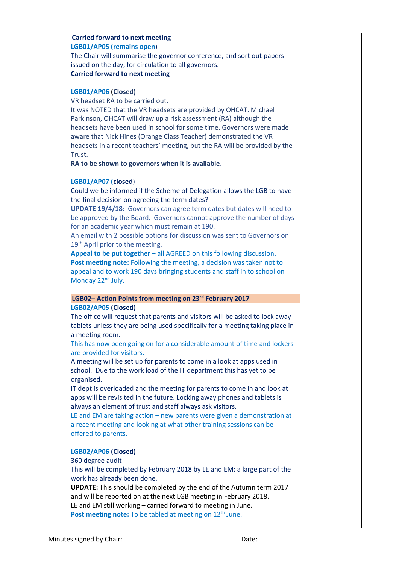| <b>Carried forward to next meeting</b>                                                                                                                        |  |
|---------------------------------------------------------------------------------------------------------------------------------------------------------------|--|
|                                                                                                                                                               |  |
| LGB01/AP05 (remains open)                                                                                                                                     |  |
| The Chair will summarise the governor conference, and sort out papers                                                                                         |  |
| issued on the day, for circulation to all governors.                                                                                                          |  |
| <b>Carried forward to next meeting</b>                                                                                                                        |  |
|                                                                                                                                                               |  |
| LGB01/AP06 (Closed)                                                                                                                                           |  |
| VR headset RA to be carried out.                                                                                                                              |  |
| It was NOTED that the VR headsets are provided by OHCAT. Michael                                                                                              |  |
| Parkinson, OHCAT will draw up a risk assessment (RA) although the                                                                                             |  |
| headsets have been used in school for some time. Governors were made                                                                                          |  |
| aware that Nick Hines (Orange Class Teacher) demonstrated the VR                                                                                              |  |
| headsets in a recent teachers' meeting, but the RA will be provided by the                                                                                    |  |
| Trust.                                                                                                                                                        |  |
| RA to be shown to governors when it is available.                                                                                                             |  |
| LGB01/AP07 (closed)                                                                                                                                           |  |
| Could we be informed if the Scheme of Delegation allows the LGB to have                                                                                       |  |
| the final decision on agreeing the term dates?                                                                                                                |  |
| <b>UPDATE 19/4/18:</b> Governors can agree term dates but dates will need to                                                                                  |  |
| be approved by the Board. Governors cannot approve the number of days                                                                                         |  |
| for an academic year which must remain at 190.                                                                                                                |  |
| An email with 2 possible options for discussion was sent to Governors on                                                                                      |  |
| 19 <sup>th</sup> April prior to the meeting.                                                                                                                  |  |
| Appeal to be put together - all AGREED on this following discussion.                                                                                          |  |
| Post meeting note: Following the meeting, a decision was taken not to                                                                                         |  |
| appeal and to work 190 days bringing students and staff in to school on                                                                                       |  |
| Monday 22 <sup>nd</sup> July.                                                                                                                                 |  |
|                                                                                                                                                               |  |
| LGB02- Action Points from meeting on 23rd February 2017                                                                                                       |  |
| LGB02/AP05 (Closed)                                                                                                                                           |  |
| The office will request that parents and visitors will be asked to lock away<br>tablets unless they are being used specifically for a meeting taking place in |  |
|                                                                                                                                                               |  |
|                                                                                                                                                               |  |
| a meeting room.                                                                                                                                               |  |
| This has now been going on for a considerable amount of time and lockers                                                                                      |  |
| are provided for visitors.                                                                                                                                    |  |
| A meeting will be set up for parents to come in a look at apps used in                                                                                        |  |
| school. Due to the work load of the IT department this has yet to be                                                                                          |  |
| organised.                                                                                                                                                    |  |
| IT dept is overloaded and the meeting for parents to come in and look at                                                                                      |  |
| apps will be revisited in the future. Locking away phones and tablets is                                                                                      |  |
| always an element of trust and staff always ask visitors.                                                                                                     |  |
| LE and EM are taking action - new parents were given a demonstration at                                                                                       |  |
| a recent meeting and looking at what other training sessions can be                                                                                           |  |
| offered to parents.                                                                                                                                           |  |
|                                                                                                                                                               |  |
| LGB02/AP06 (Closed)                                                                                                                                           |  |
| 360 degree audit                                                                                                                                              |  |
| This will be completed by February 2018 by LE and EM; a large part of the                                                                                     |  |
| work has already been done.                                                                                                                                   |  |
| UPDATE: This should be completed by the end of the Autumn term 2017                                                                                           |  |
| and will be reported on at the next LGB meeting in February 2018.                                                                                             |  |
| LE and EM still working - carried forward to meeting in June.<br>Post meeting note: To be tabled at meeting on 12 <sup>th</sup> June.                         |  |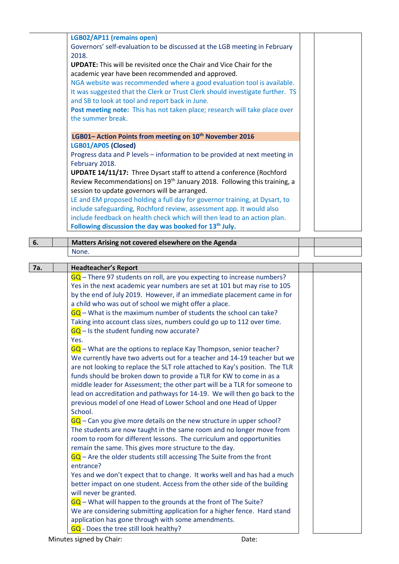|     | LGB02/AP11 (remains open)                                                                    |  |
|-----|----------------------------------------------------------------------------------------------|--|
|     | Governors' self-evaluation to be discussed at the LGB meeting in February                    |  |
|     | 2018.                                                                                        |  |
|     | <b>UPDATE:</b> This will be revisited once the Chair and Vice Chair for the                  |  |
|     | academic year have been recommended and approved.                                            |  |
|     |                                                                                              |  |
|     | NGA website was recommended where a good evaluation tool is available.                       |  |
|     | It was suggested that the Clerk or Trust Clerk should investigate further. TS                |  |
|     | and SB to look at tool and report back in June.                                              |  |
|     | Post meeting note: This has not taken place; research will take place over                   |  |
|     | the summer break.                                                                            |  |
|     |                                                                                              |  |
|     | LGB01- Action Points from meeting on 10 <sup>th</sup> November 2016                          |  |
|     | LGB01/AP05 (Closed)                                                                          |  |
|     | Progress data and P levels - information to be provided at next meeting in                   |  |
|     | February 2018.                                                                               |  |
|     | <b>UPDATE 14/11/17:</b> Three Dysart staff to attend a conference (Rochford                  |  |
|     | Review Recommendations) on 19 <sup>th</sup> January 2018. Following this training, a         |  |
|     | session to update governors will be arranged.                                                |  |
|     | LE and EM proposed holding a full day for governor training, at Dysart, to                   |  |
|     |                                                                                              |  |
|     | include safeguarding, Rochford review, assessment app. It would also                         |  |
|     | include feedback on health check which will then lead to an action plan.                     |  |
|     | Following discussion the day was booked for 13 <sup>th</sup> July.                           |  |
| 6.  | Matters Arising not covered elsewhere on the Agenda                                          |  |
|     | None.                                                                                        |  |
|     |                                                                                              |  |
| 7a. | <b>Headteacher's Report</b>                                                                  |  |
|     | $GQ$ – There 97 students on roll, are you expecting to increase numbers?                     |  |
|     | Yes in the next academic year numbers are set at 101 but may rise to 105                     |  |
|     | by the end of July 2019. However, if an immediate placement came in for                      |  |
|     | a child who was out of school we might offer a place.                                        |  |
|     | $GQ$ – What is the maximum number of students the school can take?                           |  |
|     |                                                                                              |  |
|     | Taking into account class sizes, numbers could go up to 112 over time.                       |  |
|     | $GQ - Is$ the student funding now accurate?                                                  |  |
|     | Yes.                                                                                         |  |
|     | $GQ$ – What are the options to replace Kay Thompson, senior teacher?                         |  |
|     | We currently have two adverts out for a teacher and 14-19 teacher but we                     |  |
|     | are not looking to replace the SLT role attached to Kay's position. The TLR                  |  |
|     | funds should be broken down to provide a TLR for KW to come in as a                          |  |
|     | middle leader for Assessment; the other part will be a TLR for someone to                    |  |
|     | lead on accreditation and pathways for 14-19. We will then go back to the                    |  |
|     | previous model of one Head of Lower School and one Head of Upper                             |  |
|     |                                                                                              |  |
|     | School.                                                                                      |  |
|     | $GQ$ – Can you give more details on the new structure in upper school?                       |  |
|     | The students are now taught in the same room and no longer move from                         |  |
|     | room to room for different lessons. The curriculum and opportunities                         |  |
|     | remain the same. This gives more structure to the day.                                       |  |
|     | $GG$ – Are the older students still accessing The Suite from the front                       |  |
|     | entrance?                                                                                    |  |
|     | Yes and we don't expect that to change. It works well and has had a much                     |  |
|     |                                                                                              |  |
|     |                                                                                              |  |
|     | better impact on one student. Access from the other side of the building                     |  |
|     | will never be granted.                                                                       |  |
|     | $GQ$ – What will happen to the grounds at the front of The Suite?                            |  |
|     | We are considering submitting application for a higher fence. Hard stand                     |  |
|     | application has gone through with some amendments.<br>GQ - Does the tree still look healthy? |  |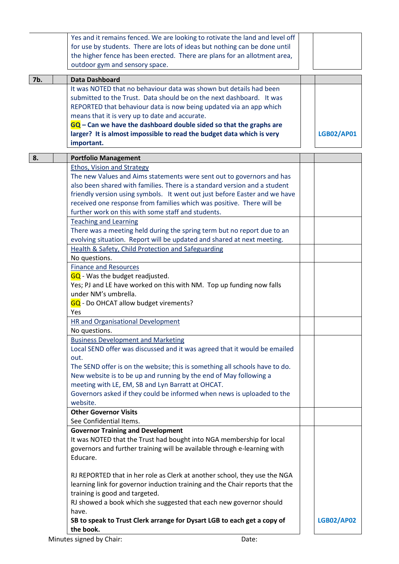|     | Yes and it remains fenced. We are looking to rotivate the land and level off<br>for use by students. There are lots of ideas but nothing can be done until<br>the higher fence has been erected. There are plans for an allotment area,<br>outdoor gym and sensory space.                                                                                                                                                            |                   |
|-----|--------------------------------------------------------------------------------------------------------------------------------------------------------------------------------------------------------------------------------------------------------------------------------------------------------------------------------------------------------------------------------------------------------------------------------------|-------------------|
| 7b. | <b>Data Dashboard</b>                                                                                                                                                                                                                                                                                                                                                                                                                |                   |
|     | It was NOTED that no behaviour data was shown but details had been<br>submitted to the Trust. Data should be on the next dashboard. It was<br>REPORTED that behaviour data is now being updated via an app which<br>means that it is very up to date and accurate.<br>$GG$ – Can we have the dashboard double sided so that the graphs are<br>larger? It is almost impossible to read the budget data which is very<br>important.    | <b>LGB02/AP01</b> |
| 8.  | <b>Portfolio Management</b>                                                                                                                                                                                                                                                                                                                                                                                                          |                   |
|     | <b>Ethos, Vision and Strategy</b><br>The new Values and Aims statements were sent out to governors and has<br>also been shared with families. There is a standard version and a student<br>friendly version using symbols. It went out just before Easter and we have<br>received one response from families which was positive. There will be<br>further work on this with some staff and students.<br><b>Teaching and Learning</b> |                   |
|     | There was a meeting held during the spring term but no report due to an<br>evolving situation. Report will be updated and shared at next meeting.<br>Health & Safety, Child Protection and Safeguarding                                                                                                                                                                                                                              |                   |
|     | No questions.                                                                                                                                                                                                                                                                                                                                                                                                                        |                   |
|     | <b>Finance and Resources</b><br><b>GQ</b> - Was the budget readjusted.<br>Yes; PJ and LE have worked on this with NM. Top up funding now falls<br>under NM's umbrella.<br>GQ - Do OHCAT allow budget virements?<br>Yes                                                                                                                                                                                                               |                   |
|     | <b>HR and Organisational Development</b>                                                                                                                                                                                                                                                                                                                                                                                             |                   |
|     | No questions.                                                                                                                                                                                                                                                                                                                                                                                                                        |                   |
|     | <b>Business Development and Marketing</b><br>Local SEND offer was discussed and it was agreed that it would be emailed<br>out.<br>The SEND offer is on the website; this is something all schools have to do.<br>New website is to be up and running by the end of May following a<br>meeting with LE, EM, SB and Lyn Barratt at OHCAT.<br>Governors asked if they could be informed when news is uploaded to the<br>website.        |                   |
|     | <b>Other Governor Visits</b>                                                                                                                                                                                                                                                                                                                                                                                                         |                   |
|     | See Confidential Items.                                                                                                                                                                                                                                                                                                                                                                                                              |                   |
|     | <b>Governor Training and Development</b><br>It was NOTED that the Trust had bought into NGA membership for local<br>governors and further training will be available through e-learning with<br>Educare.                                                                                                                                                                                                                             |                   |
|     | RJ REPORTED that in her role as Clerk at another school, they use the NGA<br>learning link for governor induction training and the Chair reports that the<br>training is good and targeted.<br>RJ showed a book which she suggested that each new governor should<br>have.                                                                                                                                                           |                   |
|     | SB to speak to Trust Clerk arrange for Dysart LGB to each get a copy of<br>the book.                                                                                                                                                                                                                                                                                                                                                 | <b>LGB02/AP02</b> |
|     | Minutes signed by Chair:<br>Date:                                                                                                                                                                                                                                                                                                                                                                                                    |                   |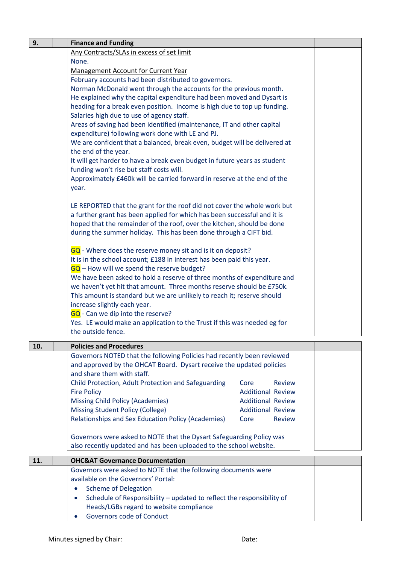| 9.  | <b>Finance and Funding</b>                                                                                                                 |  |  |  |
|-----|--------------------------------------------------------------------------------------------------------------------------------------------|--|--|--|
|     | Any Contracts/SLAs in excess of set limit                                                                                                  |  |  |  |
|     | None.                                                                                                                                      |  |  |  |
|     | <b>Management Account for Current Year</b>                                                                                                 |  |  |  |
|     | February accounts had been distributed to governors.                                                                                       |  |  |  |
|     | Norman McDonald went through the accounts for the previous month.                                                                          |  |  |  |
|     | He explained why the capital expenditure had been moved and Dysart is                                                                      |  |  |  |
|     | heading for a break even position. Income is high due to top up funding.                                                                   |  |  |  |
|     | Salaries high due to use of agency staff.<br>Areas of saving had been identified (maintenance, IT and other capital                        |  |  |  |
|     | expenditure) following work done with LE and PJ.                                                                                           |  |  |  |
|     | We are confident that a balanced, break even, budget will be delivered at                                                                  |  |  |  |
|     | the end of the year.                                                                                                                       |  |  |  |
|     | It will get harder to have a break even budget in future years as student                                                                  |  |  |  |
|     | funding won't rise but staff costs will.                                                                                                   |  |  |  |
|     | Approximately £460k will be carried forward in reserve at the end of the                                                                   |  |  |  |
|     | year.                                                                                                                                      |  |  |  |
|     | LE REPORTED that the grant for the roof did not cover the whole work but                                                                   |  |  |  |
|     | a further grant has been applied for which has been successful and it is                                                                   |  |  |  |
|     | hoped that the remainder of the roof, over the kitchen, should be done                                                                     |  |  |  |
|     | during the summer holiday. This has been done through a CIFT bid.                                                                          |  |  |  |
|     | GQ - Where does the reserve money sit and is it on deposit?                                                                                |  |  |  |
|     | It is in the school account; £188 in interest has been paid this year.                                                                     |  |  |  |
|     | $GQ$ – How will we spend the reserve budget?                                                                                               |  |  |  |
|     | We have been asked to hold a reserve of three months of expenditure and                                                                    |  |  |  |
|     | we haven't yet hit that amount. Three months reserve should be £750k.                                                                      |  |  |  |
|     | This amount is standard but we are unlikely to reach it; reserve should<br>increase slightly each year.                                    |  |  |  |
|     | GQ - Can we dip into the reserve?                                                                                                          |  |  |  |
|     | Yes. LE would make an application to the Trust if this was needed eg for                                                                   |  |  |  |
|     | the outside fence.                                                                                                                         |  |  |  |
| 10. | <b>Policies and Procedures</b>                                                                                                             |  |  |  |
|     | Governors NOTED that the following Policies had recently been reviewed                                                                     |  |  |  |
|     | and approved by the OHCAT Board. Dysart receive the updated policies                                                                       |  |  |  |
|     | and share them with staff.                                                                                                                 |  |  |  |
|     | Child Protection, Adult Protection and Safeguarding<br>Review<br>Core                                                                      |  |  |  |
|     | <b>Fire Policy</b><br><b>Additional Review</b>                                                                                             |  |  |  |
|     | <b>Missing Child Policy (Academies)</b><br><b>Additional Review</b><br><b>Missing Student Policy (College)</b><br><b>Additional Review</b> |  |  |  |
|     | Relationships and Sex Education Policy (Academies)<br><b>Review</b><br>Core                                                                |  |  |  |
|     |                                                                                                                                            |  |  |  |
|     | Governors were asked to NOTE that the Dysart Safeguarding Policy was                                                                       |  |  |  |
|     | also recently updated and has been uploaded to the school website.                                                                         |  |  |  |
| 11. | <b>OHC&amp;AT Governance Documentation</b>                                                                                                 |  |  |  |
|     | Governors were asked to NOTE that the following documents were                                                                             |  |  |  |
|     | available on the Governors' Portal:                                                                                                        |  |  |  |
|     | <b>Scheme of Delegation</b>                                                                                                                |  |  |  |
|     | Schedule of Responsibility - updated to reflect the responsibility of                                                                      |  |  |  |
|     | Heads/LGBs regard to website compliance                                                                                                    |  |  |  |

Governors code of Conduct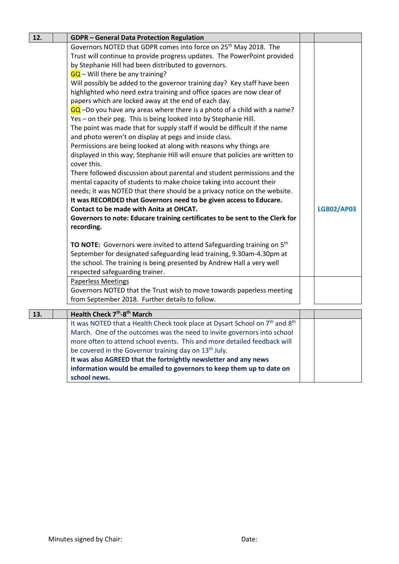| 12. | <b>GDPR - General Data Protection Regulation</b>                                                    |                   |
|-----|-----------------------------------------------------------------------------------------------------|-------------------|
|     | Governors NOTED that GDPR comes into force on 25 <sup>th</sup> May 2018. The                        |                   |
|     | Trust will continue to provide progress updates. The PowerPoint provided                            |                   |
|     | by Stephanie Hill had been distributed to governors.                                                |                   |
|     | $GQ$ – Will there be any training?                                                                  |                   |
|     | Will possibly be added to the governor training day? Key staff have been                            |                   |
|     | highlighted who need extra training and office spaces are now clear of                              |                   |
|     | papers which are locked away at the end of each day.                                                |                   |
|     | GQ -Do you have any areas where there is a photo of a child with a name?                            |                   |
|     | Yes - on their peg. This is being looked into by Stephanie Hill.                                    |                   |
|     | The point was made that for supply staff if would be difficult if the name                          |                   |
|     | and photo weren't on display at pegs and inside class.                                              |                   |
|     | Permissions are being looked at along with reasons why things are                                   |                   |
|     | displayed in this way; Stephanie Hill will ensure that policies are written to<br>cover this.       |                   |
|     | There followed discussion about parental and student permissions and the                            |                   |
|     | mental capacity of students to make choice taking into account their                                |                   |
|     | needs; it was NOTED that there should be a privacy notice on the website.                           |                   |
|     | It was RECORDED that Governors need to be given access to Educare.                                  |                   |
|     | Contact to be made with Anita at OHCAT.                                                             | <b>LGB02/AP03</b> |
|     | Governors to note: Educare training certificates to be sent to the Clerk for                        |                   |
|     | recording.                                                                                          |                   |
|     |                                                                                                     |                   |
|     | <b>TO NOTE:</b> Governors were invited to attend Safeguarding training on 5 <sup>th</sup>           |                   |
|     | September for designated safeguarding lead training, 9.30am-4.30pm at                               |                   |
|     | the school. The training is being presented by Andrew Hall a very well                              |                   |
|     | respected safeguarding trainer.                                                                     |                   |
|     | <b>Paperless Meetings</b>                                                                           |                   |
|     | Governors NOTED that the Trust wish to move towards paperless meeting                               |                   |
|     | from September 2018. Further details to follow.                                                     |                   |
| 13. | Health Check 7 <sup>th</sup> -8 <sup>th</sup> March                                                 |                   |
|     | It was NOTED that a Health Check took place at Dysart School on 7 <sup>th</sup> and 8 <sup>th</sup> |                   |
|     | March. One of the outcomes was the need to invite governors into school                             |                   |
|     | more often to attend school events. This and more detailed feedback will                            |                   |
|     | be covered in the Governor training day on 13 <sup>th</sup> July.                                   |                   |
|     | It was also AGREED that the fortnightly newsletter and any news                                     |                   |
|     | information would be emailed to governors to keep them up to date on                                |                   |
|     | school news.                                                                                        |                   |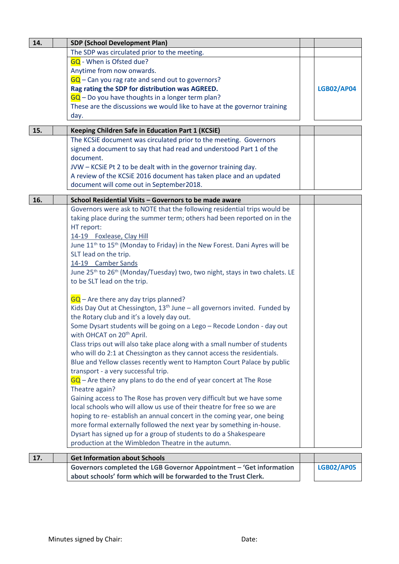| 14. | <b>SDP (School Development Plan)</b>                                                                |                   |
|-----|-----------------------------------------------------------------------------------------------------|-------------------|
|     | The SDP was circulated prior to the meeting.                                                        |                   |
|     | GQ - When is Ofsted due?                                                                            |                   |
|     | Anytime from now onwards.                                                                           |                   |
|     | $GQ$ – Can you rag rate and send out to governors?                                                  |                   |
|     | Rag rating the SDP for distribution was AGREED.                                                     | <b>LGB02/AP04</b> |
|     | $GQ$ – Do you have thoughts in a longer term plan?                                                  |                   |
|     | These are the discussions we would like to have at the governor training                            |                   |
|     | day.                                                                                                |                   |
|     |                                                                                                     |                   |
| 15. | <b>Keeping Children Safe in Education Part 1 (KCSiE)</b>                                            |                   |
|     | The KCSiE document was circulated prior to the meeting. Governors                                   |                   |
|     | signed a document to say that had read and understood Part 1 of the                                 |                   |
|     | document.                                                                                           |                   |
|     | JVW - KCSIE Pt 2 to be dealt with in the governor training day.                                     |                   |
|     | A review of the KCSiE 2016 document has taken place and an updated                                  |                   |
|     | document will come out in September2018.                                                            |                   |
| 16. | School Residential Visits - Governors to be made aware                                              |                   |
|     | Governors were ask to NOTE that the following residential trips would be                            |                   |
|     | taking place during the summer term; others had been reported on in the                             |                   |
|     | HT report:                                                                                          |                   |
|     | 14-19 Foxlease, Clay Hill                                                                           |                   |
|     |                                                                                                     |                   |
|     | June 11 <sup>th</sup> to 15 <sup>th</sup> (Monday to Friday) in the New Forest. Dani Ayres will be  |                   |
|     | SLT lead on the trip.                                                                               |                   |
|     | 14-19 Camber Sands                                                                                  |                   |
|     | June 25 <sup>th</sup> to 26 <sup>th</sup> (Monday/Tuesday) two, two night, stays in two chalets. LE |                   |
|     | to be SLT lead on the trip.                                                                         |                   |
|     | $GQ$ – Are there any day trips planned?                                                             |                   |
|     | Kids Day Out at Chessington, 13 <sup>th</sup> June - all governors invited. Funded by               |                   |
|     | the Rotary club and it's a lovely day out.                                                          |                   |
|     | Some Dysart students will be going on a Lego - Recode London - day out                              |                   |
|     | with OHCAT on 20 <sup>th</sup> April.                                                               |                   |
|     | Class trips out will also take place along with a small number of students                          |                   |
|     | who will do 2:1 at Chessington as they cannot access the residentials.                              |                   |
|     | Blue and Yellow classes recently went to Hampton Court Palace by public                             |                   |
|     | transport - a very successful trip.                                                                 |                   |
|     | $GQ$ – Are there any plans to do the end of year concert at The Rose                                |                   |
|     | Theatre again?                                                                                      |                   |
|     | Gaining access to The Rose has proven very difficult but we have some                               |                   |
|     | local schools who will allow us use of their theatre for free so we are                             |                   |
|     | hoping to re-establish an annual concert in the coming year, one being                              |                   |
|     | more formal externally followed the next year by something in-house.                                |                   |
|     | Dysart has signed up for a group of students to do a Shakespeare                                    |                   |
|     | production at the Wimbledon Theatre in the autumn.                                                  |                   |
| 17. | <b>Get Information about Schools</b>                                                                |                   |
|     | Governors completed the LGB Governor Appointment - 'Get information                                 | <b>LGB02/AP05</b> |
|     | about schools' form which will be forwarded to the Trust Clerk.                                     |                   |
|     |                                                                                                     |                   |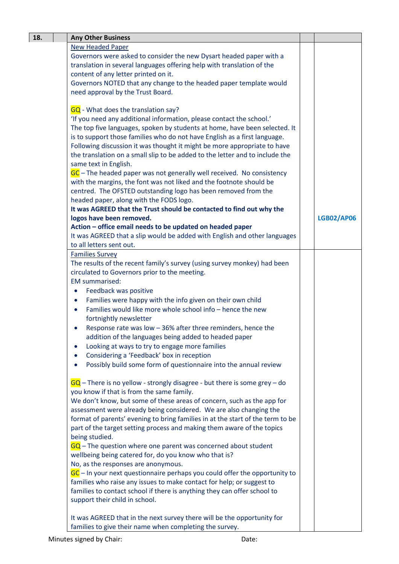| 18. | <b>Any Other Business</b>                                                              |                   |
|-----|----------------------------------------------------------------------------------------|-------------------|
|     | <b>New Headed Paper</b>                                                                |                   |
|     | Governors were asked to consider the new Dysart headed paper with a                    |                   |
|     | translation in several languages offering help with translation of the                 |                   |
|     | content of any letter printed on it.                                                   |                   |
|     | Governors NOTED that any change to the headed paper template would                     |                   |
|     | need approval by the Trust Board.                                                      |                   |
|     |                                                                                        |                   |
|     | GQ - What does the translation say?                                                    |                   |
|     | 'If you need any additional information, please contact the school.'                   |                   |
|     | The top five languages, spoken by students at home, have been selected. It             |                   |
|     | is to support those families who do not have English as a first language.              |                   |
|     | Following discussion it was thought it might be more appropriate to have               |                   |
|     | the translation on a small slip to be added to the letter and to include the           |                   |
|     | same text in English.                                                                  |                   |
|     | GC - The headed paper was not generally well received. No consistency                  |                   |
|     | with the margins, the font was not liked and the footnote should be                    |                   |
|     | centred. The OFSTED outstanding logo has been removed from the                         |                   |
|     | headed paper, along with the FODS logo.                                                |                   |
|     | It was AGREED that the Trust should be contacted to find out why the                   |                   |
|     | logos have been removed.                                                               | <b>LGB02/AP06</b> |
|     | Action - office email needs to be updated on headed paper                              |                   |
|     | It was AGREED that a slip would be added with English and other languages              |                   |
|     | to all letters sent out.                                                               |                   |
|     |                                                                                        |                   |
|     | <b>Families Survey</b>                                                                 |                   |
|     | The results of the recent family's survey (using survey monkey) had been               |                   |
|     | circulated to Governors prior to the meeting.<br><b>EM</b> summarised:                 |                   |
|     |                                                                                        |                   |
|     | Feedback was positive<br>$\bullet$                                                     |                   |
|     | Families were happy with the info given on their own child<br>$\bullet$                |                   |
|     | Families would like more whole school info - hence the new                             |                   |
|     | fortnightly newsletter                                                                 |                   |
|     | Response rate was low $-36%$ after three reminders, hence the                          |                   |
|     | addition of the languages being added to headed paper                                  |                   |
|     | Looking at ways to try to engage more families<br>$\bullet$                            |                   |
|     | Considering a 'Feedback' box in reception                                              |                   |
|     | Possibly build some form of questionnaire into the annual review                       |                   |
|     |                                                                                        |                   |
|     | $\overline{GQ}$ – There is no yellow - strongly disagree - but there is some grey – do |                   |
|     | you know if that is from the same family.                                              |                   |
|     | We don't know, but some of these areas of concern, such as the app for                 |                   |
|     | assessment were already being considered. We are also changing the                     |                   |
|     | format of parents' evening to bring families in at the start of the term to be         |                   |
|     | part of the target setting process and making them aware of the topics                 |                   |
|     | being studied.                                                                         |                   |
|     | $GQ$ – The question where one parent was concerned about student                       |                   |
|     | wellbeing being catered for, do you know who that is?                                  |                   |
|     | No, as the responses are anonymous.                                                    |                   |
|     | $GC$ – In your next questionnaire perhaps you could offer the opportunity to           |                   |
|     | families who raise any issues to make contact for help; or suggest to                  |                   |
|     | families to contact school if there is anything they can offer school to               |                   |
|     | support their child in school.                                                         |                   |
|     |                                                                                        |                   |
|     | It was AGREED that in the next survey there will be the opportunity for                |                   |
|     | families to give their name when completing the survey.                                |                   |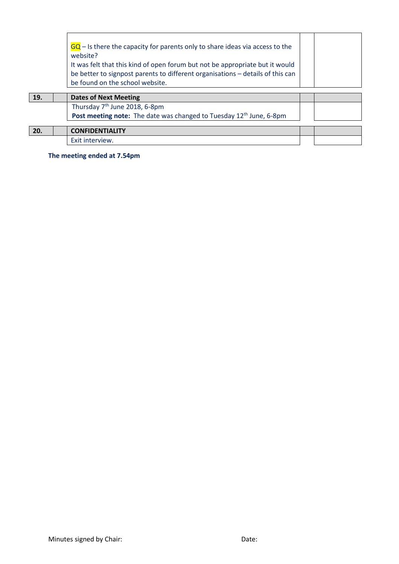|     | $GQ - I$ is there the capacity for parents only to share ideas via access to the<br>website?<br>It was felt that this kind of open forum but not be appropriate but it would<br>be better to signpost parents to different organisations - details of this can<br>be found on the school website. |  |
|-----|---------------------------------------------------------------------------------------------------------------------------------------------------------------------------------------------------------------------------------------------------------------------------------------------------|--|
| 19. | <b>Dates of Next Meeting</b>                                                                                                                                                                                                                                                                      |  |
|     | Thursday 7 <sup>th</sup> June 2018, 6-8pm                                                                                                                                                                                                                                                         |  |
|     | Post meeting note: The date was changed to Tuesday 12 <sup>th</sup> June, 6-8pm                                                                                                                                                                                                                   |  |
| 20. | <b>CONFIDENTIALITY</b>                                                                                                                                                                                                                                                                            |  |
|     | Exit interview.                                                                                                                                                                                                                                                                                   |  |

**The meeting ended at 7.54pm**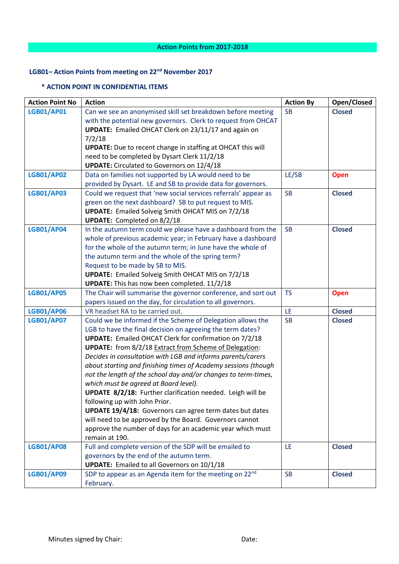# **LGB01– Action Points from meeting on 22nd November 2017**

### **\* ACTION POINT IN CONFIDENTIAL ITEMS**

| <b>LGB01/AP01</b><br>Can we see an anonymised skill set breakdown before meeting<br><b>Closed</b><br><b>SB</b><br>with the potential new governors. Clerk to request from OHCAT<br>UPDATE: Emailed OHCAT Clerk on 23/11/17 and again on<br>7/2/18 |  |
|---------------------------------------------------------------------------------------------------------------------------------------------------------------------------------------------------------------------------------------------------|--|
|                                                                                                                                                                                                                                                   |  |
|                                                                                                                                                                                                                                                   |  |
|                                                                                                                                                                                                                                                   |  |
|                                                                                                                                                                                                                                                   |  |
| <b>UPDATE:</b> Due to recent change in staffing at OHCAT this will                                                                                                                                                                                |  |
| need to be completed by Dysart Clerk 11/2/18                                                                                                                                                                                                      |  |
| <b>UPDATE:</b> Circulated to Governors on 12/4/18                                                                                                                                                                                                 |  |
| <b>LGB01/AP02</b><br>Data on families not supported by LA would need to be<br>LE/SB<br><b>Open</b>                                                                                                                                                |  |
| provided by Dysart. LE and SB to provide data for governors.                                                                                                                                                                                      |  |
| Could we request that 'new social services referrals' appear as<br><b>LGB01/AP03</b><br><b>SB</b><br><b>Closed</b>                                                                                                                                |  |
| green on the next dashboard? SB to put request to MIS.                                                                                                                                                                                            |  |
| <b>UPDATE:</b> Emailed Solveig Smith OHCAT MIS on 7/2/18                                                                                                                                                                                          |  |
| <b>UPDATE:</b> Completed on 8/2/18                                                                                                                                                                                                                |  |
| <b>LGB01/AP04</b><br>In the autumn term could we please have a dashboard from the<br><b>SB</b><br><b>Closed</b>                                                                                                                                   |  |
| whole of previous academic year; in February have a dashboard                                                                                                                                                                                     |  |
| for the whole of the autumn term; in June have the whole of                                                                                                                                                                                       |  |
| the autumn term and the whole of the spring term?                                                                                                                                                                                                 |  |
| Request to be made by SB to MIS.                                                                                                                                                                                                                  |  |
| <b>UPDATE:</b> Emailed Solveig Smith OHCAT MIS on 7/2/18                                                                                                                                                                                          |  |
| <b>UPDATE:</b> This has now been completed. 11/2/18                                                                                                                                                                                               |  |
| <b>LGB01/AP05</b><br>The Chair will summarise the governor conference, and sort out<br><b>TS</b><br><b>Open</b>                                                                                                                                   |  |
| papers issued on the day, for circulation to all governors.                                                                                                                                                                                       |  |
| VR headset RA to be carried out.<br>LE<br><b>LGB01/AP06</b><br><b>Closed</b>                                                                                                                                                                      |  |
| <b>LGB01/AP07</b><br>Could we be informed if the Scheme of Delegation allows the<br><b>SB</b><br><b>Closed</b>                                                                                                                                    |  |
| LGB to have the final decision on agreeing the term dates?                                                                                                                                                                                        |  |
| <b>UPDATE:</b> Emailed OHCAT Clerk for confirmation on 7/2/18                                                                                                                                                                                     |  |
| <b>UPDATE:</b> from 8/2/18 Extract from Scheme of Delegation:                                                                                                                                                                                     |  |
| Decides in consultation with LGB and informs parents/carers                                                                                                                                                                                       |  |
| about starting and finishing times of Academy sessions (though                                                                                                                                                                                    |  |
| not the length of the school day and/or changes to term-times,                                                                                                                                                                                    |  |
| which must be agreed at Board level).                                                                                                                                                                                                             |  |
| UPDATE 8/2/18: Further clarification needed. Leigh will be                                                                                                                                                                                        |  |
| following up with John Prior.                                                                                                                                                                                                                     |  |
| UPDATE 19/4/18: Governors can agree term dates but dates                                                                                                                                                                                          |  |
| will need to be approved by the Board. Governors cannot                                                                                                                                                                                           |  |
| approve the number of days for an academic year which must<br>remain at 190.                                                                                                                                                                      |  |
| <b>LGB01/AP08</b><br>Full and complete version of the SDP will be emailed to<br>LE<br><b>Closed</b>                                                                                                                                               |  |
| governors by the end of the autumn term.                                                                                                                                                                                                          |  |
| <b>UPDATE:</b> Emailed to all Governors on 10/1/18                                                                                                                                                                                                |  |
| SDP to appear as an Agenda item for the meeting on 22nd<br><b>LGB01/AP09</b><br><b>Closed</b><br><b>SB</b>                                                                                                                                        |  |
| February.                                                                                                                                                                                                                                         |  |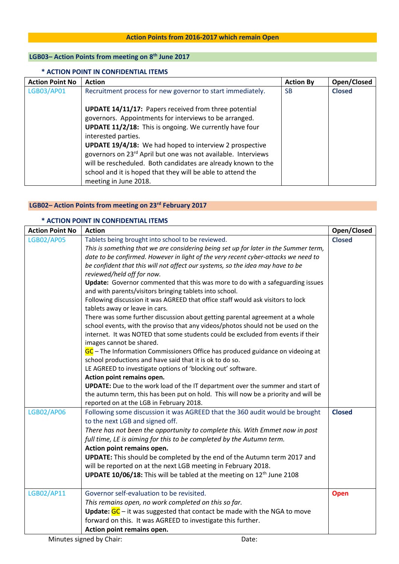## **Action Points from 2016-2017 which remain Open**

## **LGB03– Action Points from meeting on 8th June 2017**

### **\* ACTION POINT IN CONFIDENTIAL ITEMS**

| <b>Action Point No</b> | <b>Action</b>                                                                                                                                                                                                                                                                                                                                                                                                                                                                                                    | <b>Action By</b> | Open/Closed   |
|------------------------|------------------------------------------------------------------------------------------------------------------------------------------------------------------------------------------------------------------------------------------------------------------------------------------------------------------------------------------------------------------------------------------------------------------------------------------------------------------------------------------------------------------|------------------|---------------|
| LGB03/AP01             | Recruitment process for new governor to start immediately.                                                                                                                                                                                                                                                                                                                                                                                                                                                       | <b>SB</b>        | <b>Closed</b> |
|                        | <b>UPDATE 14/11/17:</b> Papers received from three potential<br>governors. Appointments for interviews to be arranged.<br>UPDATE 11/2/18: This is ongoing. We currently have four<br>interested parties.<br><b>UPDATE 19/4/18:</b> We had hoped to interview 2 prospective<br>governors on 23 <sup>rd</sup> April but one was not available. Interviews<br>will be rescheduled. Both candidates are already known to the<br>school and it is hoped that they will be able to attend the<br>meeting in June 2018. |                  |               |

## **LGB02– Action Points from meeting on 23rd February 2017**

#### **\* ACTION POINT IN CONFIDENTIAL ITEMS**

| <b>Action Point No</b> | <b>Action</b>                                                                                                                                                                | Open/Closed   |
|------------------------|------------------------------------------------------------------------------------------------------------------------------------------------------------------------------|---------------|
| <b>LGB02/AP05</b>      | Tablets being brought into school to be reviewed.                                                                                                                            | <b>Closed</b> |
|                        | This is something that we are considering being set up for later in the Summer term,                                                                                         |               |
|                        | date to be confirmed. However in light of the very recent cyber-attacks we need to                                                                                           |               |
|                        | be confident that this will not affect our systems, so the idea may have to be                                                                                               |               |
|                        | reviewed/held off for now.                                                                                                                                                   |               |
|                        | Update: Governor commented that this was more to do with a safeguarding issues                                                                                               |               |
|                        | and with parents/visitors bringing tablets into school.                                                                                                                      |               |
|                        | Following discussion it was AGREED that office staff would ask visitors to lock                                                                                              |               |
|                        | tablets away or leave in cars.                                                                                                                                               |               |
|                        | There was some further discussion about getting parental agreement at a whole                                                                                                |               |
|                        | school events, with the proviso that any videos/photos should not be used on the                                                                                             |               |
|                        | internet. It was NOTED that some students could be excluded from events if their                                                                                             |               |
|                        | images cannot be shared.                                                                                                                                                     |               |
|                        | GC – The Information Commissioners Office has produced guidance on videoing at                                                                                               |               |
|                        | school productions and have said that it is ok to do so.                                                                                                                     |               |
|                        | LE AGREED to investigate options of 'blocking out' software.                                                                                                                 |               |
|                        | Action point remains open.                                                                                                                                                   |               |
|                        | <b>UPDATE:</b> Due to the work load of the IT department over the summer and start of<br>the autumn term, this has been put on hold. This will now be a priority and will be |               |
|                        | reported on at the LGB in February 2018.                                                                                                                                     |               |
| <b>LGB02/AP06</b>      | Following some discussion it was AGREED that the 360 audit would be brought                                                                                                  | <b>Closed</b> |
|                        | to the next LGB and signed off.                                                                                                                                              |               |
|                        | There has not been the opportunity to complete this. With Emmet now in post                                                                                                  |               |
|                        | full time, LE is aiming for this to be completed by the Autumn term.                                                                                                         |               |
|                        | Action point remains open.                                                                                                                                                   |               |
|                        | <b>UPDATE:</b> This should be completed by the end of the Autumn term 2017 and                                                                                               |               |
|                        | will be reported on at the next LGB meeting in February 2018.                                                                                                                |               |
|                        | UPDATE 10/06/18: This will be tabled at the meeting on 12 <sup>th</sup> June 2108                                                                                            |               |
|                        |                                                                                                                                                                              |               |
| LGB02/AP11             | Governor self-evaluation to be revisited.                                                                                                                                    | <b>Open</b>   |
|                        | This remains open, no work completed on this so far.                                                                                                                         |               |
|                        | <b>Update:</b> $GC$ – it was suggested that contact be made with the NGA to move                                                                                             |               |
|                        | forward on this. It was AGREED to investigate this further.                                                                                                                  |               |
|                        | Action point remains open.                                                                                                                                                   |               |